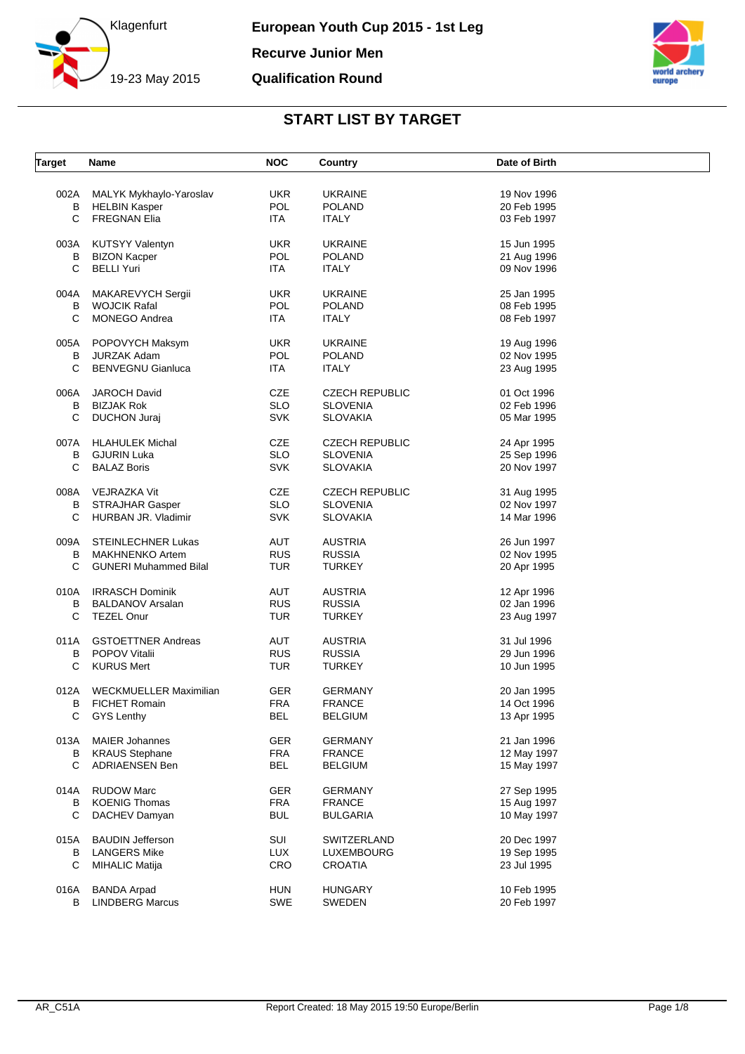



| <b>Target</b> | Name                          | <b>NOC</b> | Country               | Date of Birth |  |
|---------------|-------------------------------|------------|-----------------------|---------------|--|
| 002A          | MALYK Mykhaylo-Yaroslav       | UKR.       | <b>UKRAINE</b>        | 19 Nov 1996   |  |
| B             | <b>HELBIN Kasper</b>          | POL        | <b>POLAND</b>         | 20 Feb 1995   |  |
| C             | <b>FREGNAN Elia</b>           | ITA        | <b>ITALY</b>          | 03 Feb 1997   |  |
|               |                               |            |                       |               |  |
| 003A          | <b>KUTSYY Valentyn</b>        | <b>UKR</b> | <b>UKRAINE</b>        | 15 Jun 1995   |  |
| В             | <b>BIZON Kacper</b>           | POL        | <b>POLAND</b>         | 21 Aug 1996   |  |
| C             | <b>BELLI Yuri</b>             | ITA.       | <b>ITALY</b>          | 09 Nov 1996   |  |
| 004A          | MAKAREVYCH Sergii             | <b>UKR</b> | <b>UKRAINE</b>        | 25 Jan 1995   |  |
| В             | <b>WOJCIK Rafal</b>           | <b>POL</b> | <b>POLAND</b>         | 08 Feb 1995   |  |
| C             | <b>MONEGO Andrea</b>          | ITA.       | <b>ITALY</b>          | 08 Feb 1997   |  |
| 005A          | POPOVYCH Maksym               | <b>UKR</b> | <b>UKRAINE</b>        | 19 Aug 1996   |  |
| В             | <b>JURZAK Adam</b>            | <b>POL</b> | <b>POLAND</b>         | 02 Nov 1995   |  |
| C             | <b>BENVEGNU Gianluca</b>      | ITA.       | <b>ITALY</b>          | 23 Aug 1995   |  |
|               |                               |            |                       |               |  |
| 006A          | <b>JAROCH David</b>           | <b>CZE</b> | <b>CZECH REPUBLIC</b> | 01 Oct 1996   |  |
| В             | <b>BIZJAK Rok</b>             | <b>SLO</b> | <b>SLOVENIA</b>       | 02 Feb 1996   |  |
| С             | <b>DUCHON Juraj</b>           | <b>SVK</b> | <b>SLOVAKIA</b>       | 05 Mar 1995   |  |
| 007A          | <b>HLAHULEK Michal</b>        | CZE        | <b>CZECH REPUBLIC</b> | 24 Apr 1995   |  |
| B             | <b>GJURIN Luka</b>            | <b>SLO</b> | <b>SLOVENIA</b>       | 25 Sep 1996   |  |
| C             | <b>BALAZ Boris</b>            | <b>SVK</b> | <b>SLOVAKIA</b>       | 20 Nov 1997   |  |
|               |                               |            |                       |               |  |
| 008A          | VEJRAZKA Vit                  | <b>CZE</b> | <b>CZECH REPUBLIC</b> | 31 Aug 1995   |  |
| В             | STRAJHAR Gasper               | <b>SLO</b> | <b>SLOVENIA</b>       | 02 Nov 1997   |  |
| C             | HURBAN JR. Vladimir           | <b>SVK</b> | <b>SLOVAKIA</b>       | 14 Mar 1996   |  |
| 009A          | STEINLECHNER Lukas            | AUT        | <b>AUSTRIA</b>        | 26 Jun 1997   |  |
| в             | <b>MAKHNENKO Artem</b>        | <b>RUS</b> | <b>RUSSIA</b>         | 02 Nov 1995   |  |
| C             | <b>GUNERI Muhammed Bilal</b>  | <b>TUR</b> | <b>TURKEY</b>         | 20 Apr 1995   |  |
| 010A          | <b>IRRASCH Dominik</b>        | AUT        | <b>AUSTRIA</b>        | 12 Apr 1996   |  |
| В             | <b>BALDANOV Arsalan</b>       | <b>RUS</b> | <b>RUSSIA</b>         | 02 Jan 1996   |  |
| C             | <b>TEZEL Onur</b>             | <b>TUR</b> | <b>TURKEY</b>         | 23 Aug 1997   |  |
| 011A          | <b>GSTOETTNER Andreas</b>     | AUT        | <b>AUSTRIA</b>        | 31 Jul 1996   |  |
| в             | <b>POPOV Vitalii</b>          | <b>RUS</b> | <b>RUSSIA</b>         | 29 Jun 1996   |  |
| С             | <b>KURUS Mert</b>             | <b>TUR</b> | <b>TURKEY</b>         | 10 Jun 1995   |  |
|               |                               |            |                       |               |  |
| 012A          | <b>WECKMUELLER Maximilian</b> | <b>GER</b> | <b>GERMANY</b>        | 20 Jan 1995   |  |
| в             | <b>FICHET Romain</b>          | <b>FRA</b> | <b>FRANCE</b>         | 14 Oct 1996   |  |
| С             | <b>GYS Lenthy</b>             | BEL        | BELGIUM               | 13 Apr 1995   |  |
| 013A          | <b>MAIER Johannes</b>         | <b>GER</b> | <b>GERMANY</b>        | 21 Jan 1996   |  |
| В             | <b>KRAUS Stephane</b>         | <b>FRA</b> | <b>FRANCE</b>         | 12 May 1997   |  |
| C             | <b>ADRIAENSEN Ben</b>         | <b>BEL</b> | <b>BELGIUM</b>        | 15 May 1997   |  |
| 014A          | <b>RUDOW Marc</b>             | <b>GER</b> | <b>GERMANY</b>        | 27 Sep 1995   |  |
| В             | <b>KOENIG Thomas</b>          | <b>FRA</b> | <b>FRANCE</b>         | 15 Aug 1997   |  |
| С             |                               |            |                       |               |  |
|               | DACHEV Damyan                 | <b>BUL</b> | <b>BULGARIA</b>       | 10 May 1997   |  |
| 015A          | <b>BAUDIN Jefferson</b>       | SUI        | SWITZERLAND           | 20 Dec 1997   |  |
| в             | <b>LANGERS Mike</b>           | <b>LUX</b> | <b>LUXEMBOURG</b>     | 19 Sep 1995   |  |
| C             | <b>MIHALIC Matija</b>         | CRO        | <b>CROATIA</b>        | 23 Jul 1995   |  |
| 016A          | <b>BANDA Arpad</b>            | <b>HUN</b> | <b>HUNGARY</b>        | 10 Feb 1995   |  |
| B             | <b>LINDBERG Marcus</b>        | SWE        | SWEDEN                | 20 Feb 1997   |  |
|               |                               |            |                       |               |  |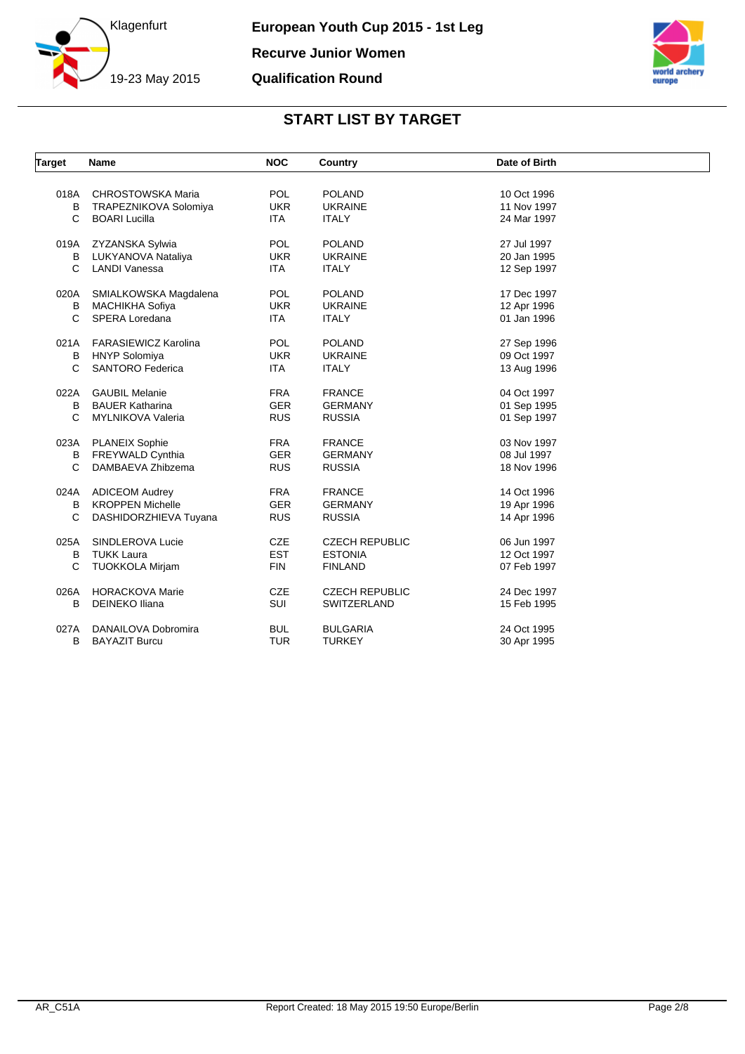



| Target       | <b>Name</b>                 | <b>NOC</b> | Country               | Date of Birth |  |
|--------------|-----------------------------|------------|-----------------------|---------------|--|
|              |                             |            |                       |               |  |
| 018A         | <b>CHROSTOWSKA Maria</b>    | <b>POL</b> | <b>POLAND</b>         | 10 Oct 1996   |  |
| В            | TRAPEZNIKOVA Solomiya       | <b>UKR</b> | <b>UKRAINE</b>        | 11 Nov 1997   |  |
| C            | <b>BOARI Lucilla</b>        | <b>ITA</b> | <b>ITALY</b>          | 24 Mar 1997   |  |
| 019A         | ZYZANSKA Sylwia             | <b>POL</b> | <b>POLAND</b>         | 27 Jul 1997   |  |
| В            | LUKYANOVA Nataliya          | <b>UKR</b> | <b>UKRAINE</b>        | 20 Jan 1995   |  |
| C            | LANDI Vanessa               | <b>ITA</b> | <b>ITALY</b>          | 12 Sep 1997   |  |
|              |                             |            |                       |               |  |
| 020A         | SMIALKOWSKA Magdalena       | <b>POL</b> | <b>POLAND</b>         | 17 Dec 1997   |  |
| В            | MACHIKHA Sofiya             | <b>UKR</b> | <b>UKRAINE</b>        | 12 Apr 1996   |  |
| $\mathsf{C}$ | SPERA Loredana              | <b>ITA</b> | <b>ITALY</b>          | 01 Jan 1996   |  |
| 021A         | <b>FARASIEWICZ Karolina</b> | <b>POL</b> | <b>POLAND</b>         | 27 Sep 1996   |  |
| B            | <b>HNYP Solomiya</b>        | <b>UKR</b> | <b>UKRAINE</b>        | 09 Oct 1997   |  |
| C            | <b>SANTORO Federica</b>     | <b>ITA</b> | <b>ITALY</b>          | 13 Aug 1996   |  |
|              |                             |            |                       |               |  |
| 022A         | <b>GAUBIL Melanie</b>       | <b>FRA</b> | <b>FRANCE</b>         | 04 Oct 1997   |  |
| B            | <b>BAUER Katharina</b>      | <b>GER</b> | <b>GERMANY</b>        | 01 Sep 1995   |  |
| $\mathsf{C}$ | MYLNIKOVA Valeria           | <b>RUS</b> | <b>RUSSIA</b>         | 01 Sep 1997   |  |
|              | 023A PLANEIX Sophie         | <b>FRA</b> | <b>FRANCE</b>         | 03 Nov 1997   |  |
| В            | FREYWALD Cynthia            | <b>GER</b> | <b>GERMANY</b>        | 08 Jul 1997   |  |
| C            | DAMBAEVA Zhibzema           | <b>RUS</b> | <b>RUSSIA</b>         | 18 Nov 1996   |  |
| 024A         | <b>ADICEOM Audrey</b>       | <b>FRA</b> | <b>FRANCE</b>         | 14 Oct 1996   |  |
| В            | <b>KROPPEN Michelle</b>     | <b>GER</b> | <b>GERMANY</b>        | 19 Apr 1996   |  |
| C            | DASHIDORZHIEVA Tuyana       | <b>RUS</b> | <b>RUSSIA</b>         | 14 Apr 1996   |  |
|              |                             |            |                       |               |  |
| 025A         | SINDLEROVA Lucie            | <b>CZE</b> | <b>CZECH REPUBLIC</b> | 06 Jun 1997   |  |
| B            | <b>TUKK Laura</b>           | <b>EST</b> | <b>ESTONIA</b>        | 12 Oct 1997   |  |
| C            | <b>TUOKKOLA Mirjam</b>      | <b>FIN</b> | <b>FINLAND</b>        | 07 Feb 1997   |  |
| 026A         | <b>HORACKOVA Marie</b>      | <b>CZE</b> | <b>CZECH REPUBLIC</b> | 24 Dec 1997   |  |
| В            | <b>DEINEKO Iliana</b>       | SUI        | SWITZERLAND           | 15 Feb 1995   |  |
|              |                             |            |                       |               |  |
| 027A         | DANAILOVA Dobromira         | <b>BUL</b> | <b>BULGARIA</b>       | 24 Oct 1995   |  |
| B            | <b>BAYAZIT Burcu</b>        | <b>TUR</b> | <b>TURKEY</b>         | 30 Apr 1995   |  |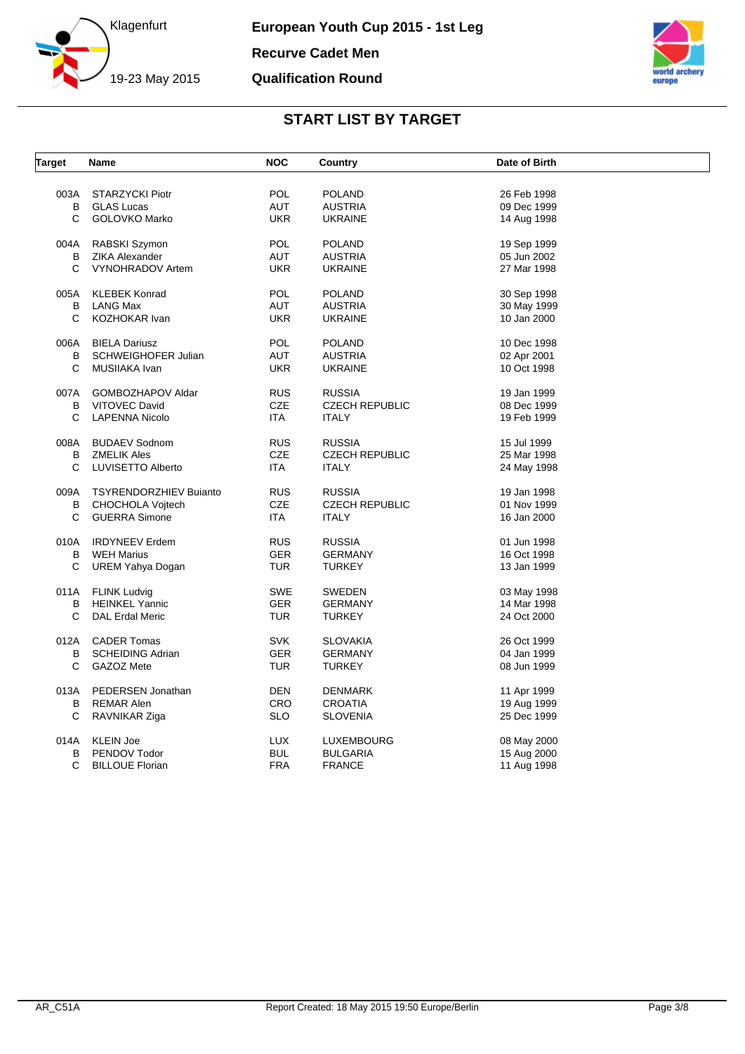



| <b>Target</b> | Name                          | <b>NOC</b> | Country               | Date of Birth |  |
|---------------|-------------------------------|------------|-----------------------|---------------|--|
|               |                               |            |                       |               |  |
| 003A          | STARZYCKI Piotr               | <b>POL</b> | <b>POLAND</b>         | 26 Feb 1998   |  |
| В             | <b>GLAS Lucas</b>             | <b>AUT</b> | <b>AUSTRIA</b>        | 09 Dec 1999   |  |
| C.            | <b>GOLOVKO Marko</b>          | <b>UKR</b> | <b>UKRAINE</b>        | 14 Aug 1998   |  |
| 004A          | RABSKI Szymon                 | POL        | <b>POLAND</b>         | 19 Sep 1999   |  |
| B             | ZIKA Alexander                | <b>AUT</b> | <b>AUSTRIA</b>        | 05 Jun 2002   |  |
| C             | VYNOHRADOV Artem              | <b>UKR</b> | <b>UKRAINE</b>        | 27 Mar 1998   |  |
| 005A          | <b>KLEBEK Konrad</b>          | POL        | <b>POLAND</b>         | 30 Sep 1998   |  |
| B             | <b>LANG Max</b>               | AUT        | <b>AUSTRIA</b>        | 30 May 1999   |  |
| C             | KOZHOKAR Ivan                 | <b>UKR</b> | <b>UKRAINE</b>        | 10 Jan 2000   |  |
|               |                               |            |                       |               |  |
| 006A          | <b>BIELA Dariusz</b>          | <b>POL</b> | <b>POLAND</b>         | 10 Dec 1998   |  |
| В             | <b>SCHWEIGHOFER Julian</b>    | AUT        | <b>AUSTRIA</b>        | 02 Apr 2001   |  |
| C             | MUSIIAKA Ivan                 | <b>UKR</b> | <b>UKRAINE</b>        | 10 Oct 1998   |  |
| 007A          | GOMBOZHAPOV Aldar             | <b>RUS</b> | <b>RUSSIA</b>         | 19 Jan 1999   |  |
| В             | <b>VITOVEC David</b>          | <b>CZE</b> | <b>CZECH REPUBLIC</b> | 08 Dec 1999   |  |
| С             | <b>LAPENNA Nicolo</b>         | ITA.       | <b>ITALY</b>          | 19 Feb 1999   |  |
| 008A          | <b>BUDAEV Sodnom</b>          | <b>RUS</b> | <b>RUSSIA</b>         | 15 Jul 1999   |  |
|               |                               |            |                       |               |  |
| B             | <b>ZMELIK Ales</b>            | <b>CZE</b> | <b>CZECH REPUBLIC</b> | 25 Mar 1998   |  |
| C             | LUVISETTO Alberto             | ITA.       | <b>ITALY</b>          | 24 May 1998   |  |
| 009A          | <b>TSYRENDORZHIEV Buianto</b> | <b>RUS</b> | <b>RUSSIA</b>         | 19 Jan 1998   |  |
| В             | <b>CHOCHOLA Vojtech</b>       | <b>CZE</b> | <b>CZECH REPUBLIC</b> | 01 Nov 1999   |  |
| C             | <b>GUERRA Simone</b>          | <b>ITA</b> | <b>ITALY</b>          | 16 Jan 2000   |  |
| 010A          | <b>IRDYNEEV Erdem</b>         | <b>RUS</b> | <b>RUSSIA</b>         | 01 Jun 1998   |  |
| В             | <b>WEH Marius</b>             | <b>GER</b> | <b>GERMANY</b>        | 16 Oct 1998   |  |
| C             | UREM Yahya Dogan              | <b>TUR</b> | <b>TURKEY</b>         | 13 Jan 1999   |  |
|               |                               |            |                       |               |  |
|               | 011A FLINK Ludvig             | SWE        | SWEDEN                | 03 May 1998   |  |
| B             | <b>HEINKEL Yannic</b>         | <b>GER</b> | <b>GERMANY</b>        | 14 Mar 1998   |  |
| C             | <b>DAL Erdal Meric</b>        | TUR        | <b>TURKEY</b>         | 24 Oct 2000   |  |
| 012A          | <b>CADER Tomas</b>            | <b>SVK</b> | <b>SLOVAKIA</b>       | 26 Oct 1999   |  |
| B             | <b>SCHEIDING Adrian</b>       | <b>GER</b> | <b>GERMANY</b>        | 04 Jan 1999   |  |
| C             | GAZOZ Mete                    | TUR        | TURKEY                | 08 Jun 1999   |  |
|               |                               |            |                       |               |  |
| 013A          | PEDERSEN Jonathan             | DEN        | DENMARK               | 11 Apr 1999   |  |
| B             | <b>REMAR Alen</b>             | <b>CRO</b> | <b>CROATIA</b>        | 19 Aug 1999   |  |
| С             | RAVNIKAR Ziga                 | <b>SLO</b> | <b>SLOVENIA</b>       | 25 Dec 1999   |  |
| 014A          | <b>KLEIN Joe</b>              | LUX        | <b>LUXEMBOURG</b>     | 08 May 2000   |  |
| В             | PENDOV Todor                  | <b>BUL</b> | <b>BULGARIA</b>       | 15 Aug 2000   |  |
| С             | <b>BILLOUE Florian</b>        | <b>FRA</b> | <b>FRANCE</b>         | 11 Aug 1998   |  |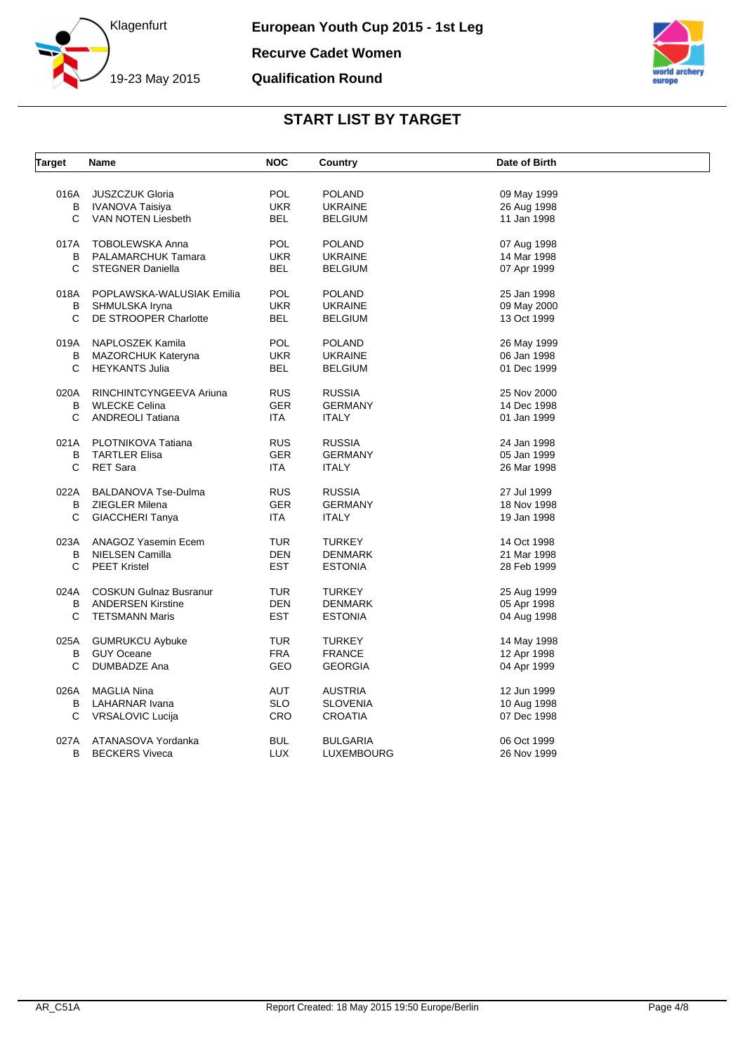



| <b>Target</b> | <b>Name</b>                   | <b>NOC</b> | Country         | Date of Birth |  |
|---------------|-------------------------------|------------|-----------------|---------------|--|
|               |                               |            |                 |               |  |
| 016A          | <b>JUSZCZUK Gloria</b>        | <b>POL</b> | <b>POLAND</b>   | 09 May 1999   |  |
| В             | IVANOVA Taisiya               | <b>UKR</b> | <b>UKRAINE</b>  | 26 Aug 1998   |  |
| C             | VAN NOTEN Liesbeth            | BEL        | <b>BELGIUM</b>  | 11 Jan 1998   |  |
| 017A          | <b>TOBOLEWSKA Anna</b>        | <b>POL</b> | <b>POLAND</b>   | 07 Aug 1998   |  |
| B             | PALAMARCHUK Tamara            | <b>UKR</b> | <b>UKRAINE</b>  | 14 Mar 1998   |  |
| C.            | <b>STEGNER Daniella</b>       | <b>BEL</b> | <b>BELGIUM</b>  | 07 Apr 1999   |  |
| 018A          | POPLAWSKA-WALUSIAK Emilia     | <b>POL</b> | <b>POLAND</b>   | 25 Jan 1998   |  |
| В             | SHMULSKA Iryna                | <b>UKR</b> | <b>UKRAINE</b>  | 09 May 2000   |  |
| C             | DE STROOPER Charlotte         | <b>BEL</b> | <b>BELGIUM</b>  | 13 Oct 1999   |  |
|               |                               |            |                 |               |  |
| 019A          | NAPLOSZEK Kamila              | <b>POL</b> | <b>POLAND</b>   | 26 May 1999   |  |
| В             | <b>MAZORCHUK Kateryna</b>     | <b>UKR</b> | <b>UKRAINE</b>  | 06 Jan 1998   |  |
| C             | <b>HEYKANTS Julia</b>         | <b>BEL</b> | <b>BELGIUM</b>  | 01 Dec 1999   |  |
| 020A          | RINCHINTCYNGEEVA Ariuna       | <b>RUS</b> | <b>RUSSIA</b>   | 25 Nov 2000   |  |
| B             | <b>WLECKE Celina</b>          | <b>GER</b> | <b>GERMANY</b>  | 14 Dec 1998   |  |
| C             | <b>ANDREOLI Tatiana</b>       | ITA.       | <b>ITALY</b>    | 01 Jan 1999   |  |
|               |                               |            |                 |               |  |
|               | 021A PLOTNIKOVA Tatiana       | <b>RUS</b> | <b>RUSSIA</b>   | 24 Jan 1998   |  |
| B             | <b>TARTLER Elisa</b>          | <b>GER</b> | <b>GERMANY</b>  | 05 Jan 1999   |  |
| C             | <b>RET Sara</b>               | <b>ITA</b> | <b>ITALY</b>    | 26 Mar 1998   |  |
| 022A          | <b>BALDANOVA Tse-Dulma</b>    | <b>RUS</b> | <b>RUSSIA</b>   | 27 Jul 1999   |  |
| В             | ZIEGLER Milena                | <b>GER</b> | <b>GERMANY</b>  | 18 Nov 1998   |  |
| C             | <b>GIACCHERI Tanya</b>        | ITA        | <b>ITALY</b>    | 19 Jan 1998   |  |
|               |                               |            |                 |               |  |
| B             | 023A ANAGOZ Yasemin Ecem      | TUR        | <b>TURKEY</b>   | 14 Oct 1998   |  |
| C             | NIELSEN Camilla               | <b>DEN</b> | <b>DENMARK</b>  | 21 Mar 1998   |  |
|               | <b>PEET Kristel</b>           | <b>EST</b> | <b>ESTONIA</b>  | 28 Feb 1999   |  |
| 024A          | <b>COSKUN Gulnaz Busranur</b> | <b>TUR</b> | <b>TURKEY</b>   | 25 Aug 1999   |  |
| B             | <b>ANDERSEN Kirstine</b>      | <b>DEN</b> | <b>DENMARK</b>  | 05 Apr 1998   |  |
| C             | <b>TETSMANN Maris</b>         | <b>EST</b> | <b>ESTONIA</b>  | 04 Aug 1998   |  |
| 025A          | <b>GUMRUKCU Aybuke</b>        | TUR        | <b>TURKEY</b>   | 14 May 1998   |  |
| B             | <b>GUY Oceane</b>             | <b>FRA</b> | <b>FRANCE</b>   | 12 Apr 1998   |  |
| C             | <b>DUMBADZE Ana</b>           | GEO        | <b>GEORGIA</b>  | 04 Apr 1999   |  |
|               |                               |            |                 |               |  |
| 026A          | <b>MAGLIA Nina</b>            | <b>AUT</b> | <b>AUSTRIA</b>  | 12 Jun 1999   |  |
| В             | LAHARNAR Ivana                | <b>SLO</b> | <b>SLOVENIA</b> | 10 Aug 1998   |  |
| C             | VRSALOVIC Lucija              | <b>CRO</b> | <b>CROATIA</b>  | 07 Dec 1998   |  |
| 027A          | ATANASOVA Yordanka            | <b>BUL</b> | <b>BULGARIA</b> | 06 Oct 1999   |  |
| B             | <b>BECKERS Viveca</b>         | <b>LUX</b> | LUXEMBOURG      | 26 Nov 1999   |  |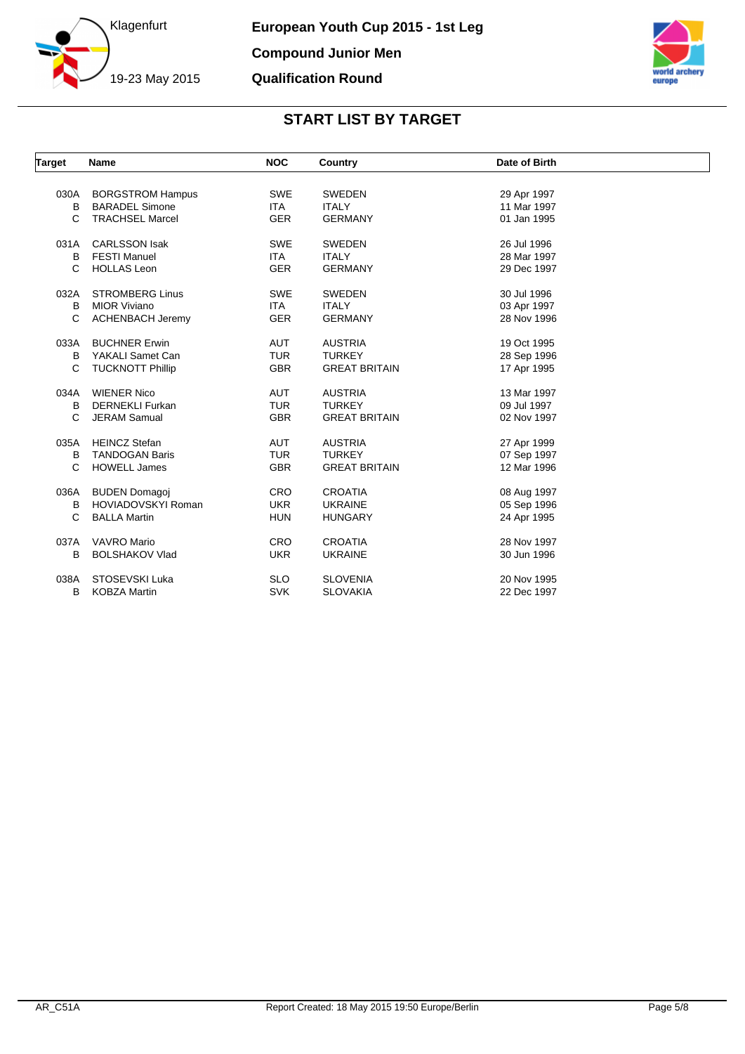



| Target | Name                    | <b>NOC</b> | Country              | Date of Birth |  |
|--------|-------------------------|------------|----------------------|---------------|--|
|        |                         |            |                      |               |  |
| 030A   | <b>BORGSTROM Hampus</b> | <b>SWE</b> | <b>SWEDEN</b>        | 29 Apr 1997   |  |
| B      | <b>BARADEL Simone</b>   | <b>ITA</b> | <b>ITALY</b>         | 11 Mar 1997   |  |
| C      | <b>TRACHSEL Marcel</b>  | <b>GER</b> | <b>GERMANY</b>       | 01 Jan 1995   |  |
| 031A   | <b>CARLSSON Isak</b>    | <b>SWE</b> | <b>SWEDEN</b>        | 26 Jul 1996   |  |
| B      | <b>FESTI Manuel</b>     | <b>ITA</b> | <b>ITALY</b>         | 28 Mar 1997   |  |
| C      | <b>HOLLAS Leon</b>      | <b>GER</b> | <b>GERMANY</b>       | 29 Dec 1997   |  |
| 032A   | <b>STROMBERG Linus</b>  | <b>SWE</b> | <b>SWEDEN</b>        | 30 Jul 1996   |  |
| B      | <b>MIOR Viviano</b>     | <b>ITA</b> | <b>ITALY</b>         | 03 Apr 1997   |  |
| C      | <b>ACHENBACH Jeremy</b> | <b>GER</b> | <b>GERMANY</b>       | 28 Nov 1996   |  |
| 033A   | <b>BUCHNER Erwin</b>    | AUT        | <b>AUSTRIA</b>       | 19 Oct 1995   |  |
| в      | YAKALI Samet Can        | <b>TUR</b> | <b>TURKEY</b>        | 28 Sep 1996   |  |
| C      | <b>TUCKNOTT Phillip</b> | <b>GBR</b> | <b>GREAT BRITAIN</b> | 17 Apr 1995   |  |
| 034A   | <b>WIENER Nico</b>      | <b>AUT</b> | <b>AUSTRIA</b>       | 13 Mar 1997   |  |
| B      | <b>DERNEKLI Furkan</b>  | <b>TUR</b> | <b>TURKEY</b>        | 09 Jul 1997   |  |
| C      | <b>JERAM Samual</b>     | <b>GBR</b> | <b>GREAT BRITAIN</b> | 02 Nov 1997   |  |
| 035A   | <b>HEINCZ Stefan</b>    | AUT        | <b>AUSTRIA</b>       | 27 Apr 1999   |  |
| B      | <b>TANDOGAN Baris</b>   | <b>TUR</b> | <b>TURKEY</b>        | 07 Sep 1997   |  |
| C      | <b>HOWELL James</b>     | <b>GBR</b> | <b>GREAT BRITAIN</b> | 12 Mar 1996   |  |
| 036A   | <b>BUDEN Domagoj</b>    | <b>CRO</b> | <b>CROATIA</b>       | 08 Aug 1997   |  |
| в      | HOVIADOVSKYI Roman      | <b>UKR</b> | <b>UKRAINE</b>       | 05 Sep 1996   |  |
| C      | <b>BALLA Martin</b>     | <b>HUN</b> | <b>HUNGARY</b>       | 24 Apr 1995   |  |
| 037A   | <b>VAVRO Mario</b>      | <b>CRO</b> | <b>CROATIA</b>       | 28 Nov 1997   |  |
| В      | <b>BOLSHAKOV Vlad</b>   | <b>UKR</b> | <b>UKRAINE</b>       | 30 Jun 1996   |  |
|        |                         |            |                      |               |  |
| 038A   | STOSEVSKI Luka          | <b>SLO</b> | <b>SLOVENIA</b>      | 20 Nov 1995   |  |
| В      | <b>KOBZA Martin</b>     | <b>SVK</b> | <b>SLOVAKIA</b>      | 22 Dec 1997   |  |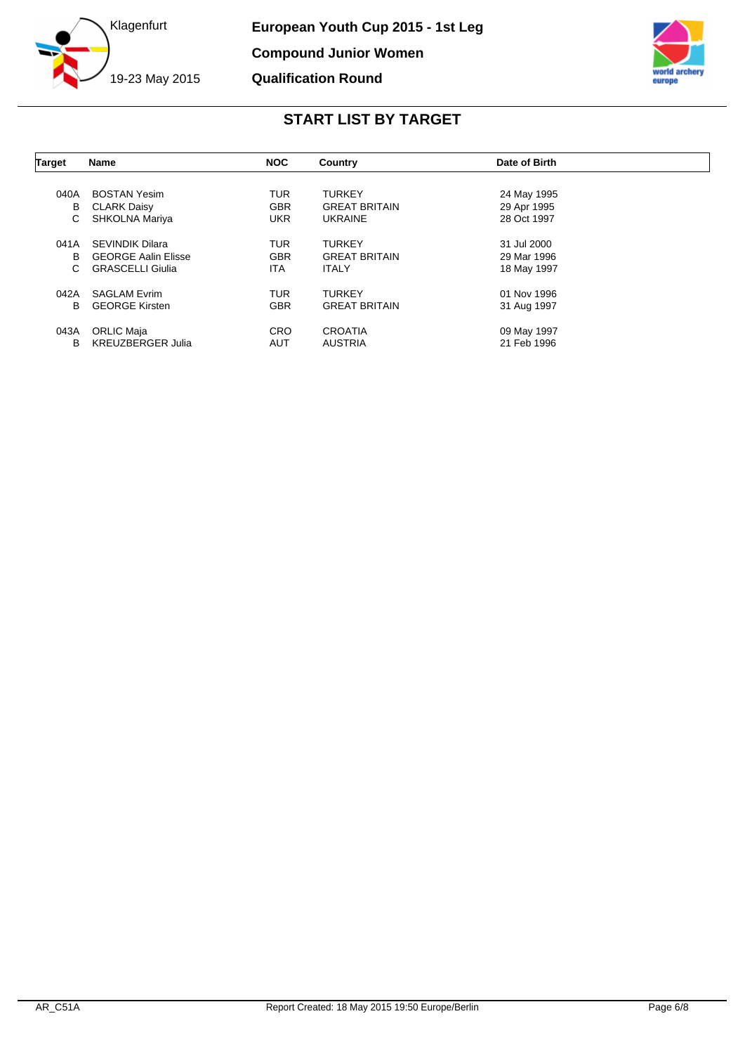



| Target | <b>Name</b>                | <b>NOC</b> | Country              | Date of Birth |  |
|--------|----------------------------|------------|----------------------|---------------|--|
|        |                            |            |                      |               |  |
| 040A   | <b>BOSTAN Yesim</b>        | <b>TUR</b> | <b>TURKEY</b>        | 24 May 1995   |  |
| в      | <b>CLARK Daisy</b>         | <b>GBR</b> | <b>GREAT BRITAIN</b> | 29 Apr 1995   |  |
| С      | SHKOLNA Mariya             | <b>UKR</b> | <b>UKRAINE</b>       | 28 Oct 1997   |  |
|        |                            |            |                      |               |  |
| 041A   | <b>SEVINDIK Dilara</b>     | <b>TUR</b> | <b>TURKEY</b>        | 31 Jul 2000   |  |
| В      | <b>GEORGE Aalin Elisse</b> | <b>GBR</b> | <b>GREAT BRITAIN</b> | 29 Mar 1996   |  |
| С      | <b>GRASCELLI Giulia</b>    | ITA.       | <b>ITALY</b>         | 18 May 1997   |  |
|        |                            |            |                      |               |  |
| 042A   | <b>SAGLAM Evrim</b>        | <b>TUR</b> | <b>TURKEY</b>        | 01 Nov 1996   |  |
| B      | <b>GEORGE Kirsten</b>      | <b>GBR</b> | <b>GREAT BRITAIN</b> | 31 Aug 1997   |  |
| 043A   | ORLIC Maja                 | <b>CRO</b> | <b>CROATIA</b>       | 09 May 1997   |  |
| B      | <b>KREUZBERGER Julia</b>   | <b>AUT</b> | <b>AUSTRIA</b>       | 21 Feb 1996   |  |
|        |                            |            |                      |               |  |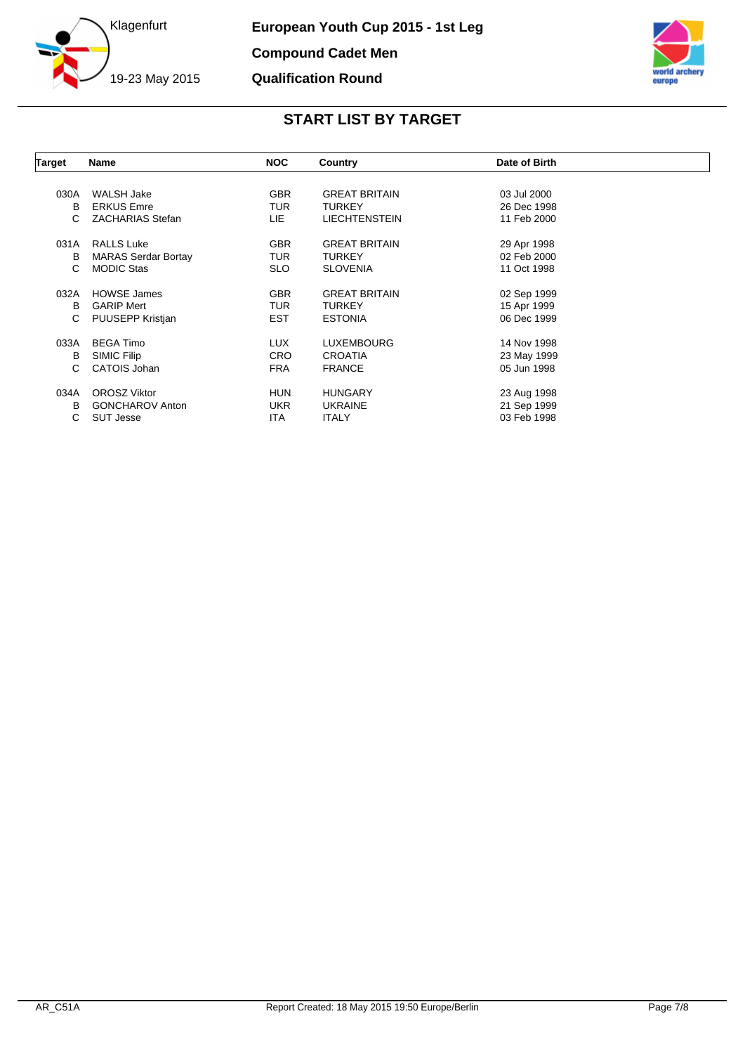



| Target | <b>Name</b>                | <b>NOC</b> | Country              | Date of Birth |  |
|--------|----------------------------|------------|----------------------|---------------|--|
|        |                            |            |                      |               |  |
| 030A   | WALSH Jake                 | <b>GBR</b> | <b>GREAT BRITAIN</b> | 03 Jul 2000   |  |
| В      | <b>ERKUS Emre</b>          | <b>TUR</b> | <b>TURKEY</b>        | 26 Dec 1998   |  |
| С      | <b>ZACHARIAS Stefan</b>    | LIE.       | <b>LIECHTENSTEIN</b> | 11 Feb 2000   |  |
| 031A   | <b>RALLS Luke</b>          | <b>GBR</b> | <b>GREAT BRITAIN</b> | 29 Apr 1998   |  |
| в      | <b>MARAS Serdar Bortay</b> | <b>TUR</b> | <b>TURKEY</b>        | 02 Feb 2000   |  |
| C      | <b>MODIC Stas</b>          | <b>SLO</b> | <b>SLOVENIA</b>      | 11 Oct 1998   |  |
| 032A   | <b>HOWSE James</b>         | <b>GBR</b> | <b>GREAT BRITAIN</b> | 02 Sep 1999   |  |
| в      | <b>GARIP Mert</b>          | <b>TUR</b> | <b>TURKEY</b>        | 15 Apr 1999   |  |
| C      | PUUSEPP Kristjan           | <b>EST</b> | <b>ESTONIA</b>       | 06 Dec 1999   |  |
| 033A   | <b>BEGA Timo</b>           | LUX.       | <b>LUXEMBOURG</b>    | 14 Nov 1998   |  |
| в      | SIMIC Filip                | <b>CRO</b> | <b>CROATIA</b>       | 23 May 1999   |  |
| C.     | CATOIS Johan               | <b>FRA</b> | <b>FRANCE</b>        | 05 Jun 1998   |  |
| 034A   | <b>OROSZ Viktor</b>        | <b>HUN</b> | <b>HUNGARY</b>       | 23 Aug 1998   |  |
| в      | <b>GONCHAROV Anton</b>     | <b>UKR</b> | <b>UKRAINE</b>       | 21 Sep 1999   |  |
| С      | <b>SUT Jesse</b>           | ITA        | <b>ITALY</b>         | 03 Feb 1998   |  |